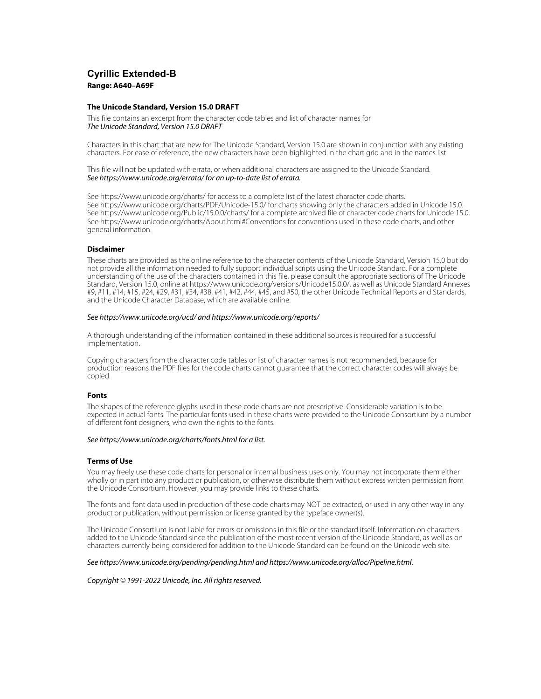## **Cyrillic Extended-B Range: A640–A69F**

#### **The Unicode Standard, Version 15.0 DRAFT**

This file contains an excerpt from the character code tables and list of character names for The Unicode Standard, Version 15.0 DRAFT

Characters in this chart that are new for The Unicode Standard, Version 15.0 are shown in conjunction with any existing characters. For ease of reference, the new characters have been highlighted in the chart grid and in the names list.

This file will not be updated with errata, or when additional characters are assigned to the Unicode Standard. See https://www.unicode.org/errata/ for an up-to-date list of errata.

See https://www.unicode.org/charts/ for access to a complete list of the latest character code charts. See https://www.unicode.org/charts/PDF/Unicode-15.0/ for charts showing only the characters added in Unicode 15.0. See https://www.unicode.org/Public/15.0.0/charts/ for a complete archived file of character code charts for Unicode 15.0. See https://www.unicode.org/charts/About.html#Conventions for conventions used in these code charts, and other general information.

#### **Disclaimer**

These charts are provided as the online reference to the character contents of the Unicode Standard, Version 15.0 but do not provide all the information needed to fully support individual scripts using the Unicode Standard. For a complete understanding of the use of the characters contained in this file, please consult the appropriate sections of The Unicode Standard, Version 15.0, online at https://www.unicode.org/versions/Unicode15.0.0/, as well as Unicode Standard Annexes #9, #11, #14, #15, #24, #29, #31, #34, #38, #41, #42, #44, #45, and #50, the other Unicode Technical Reports and Standards, and the Unicode Character Database, which are available online.

#### See https://www.unicode.org/ucd/ and https://www.unicode.org/reports/

A thorough understanding of the information contained in these additional sources is required for a successful implementation.

Copying characters from the character code tables or list of character names is not recommended, because for production reasons the PDF files for the code charts cannot guarantee that the correct character codes will always be copied.

#### **Fonts**

The shapes of the reference glyphs used in these code charts are not prescriptive. Considerable variation is to be expected in actual fonts. The particular fonts used in these charts were provided to the Unicode Consortium by a number of different font designers, who own the rights to the fonts.

#### See https://www.unicode.org/charts/fonts.html for a list.

#### **Terms of Use**

You may freely use these code charts for personal or internal business uses only. You may not incorporate them either wholly or in part into any product or publication, or otherwise distribute them without express written permission from the Unicode Consortium. However, you may provide links to these charts.

The fonts and font data used in production of these code charts may NOT be extracted, or used in any other way in any product or publication, without permission or license granted by the typeface owner(s).

The Unicode Consortium is not liable for errors or omissions in this file or the standard itself. Information on characters added to the Unicode Standard since the publication of the most recent version of the Unicode Standard, as well as on characters currently being considered for addition to the Unicode Standard can be found on the Unicode web site.

#### See https://www.unicode.org/pending/pending.html and https://www.unicode.org/alloc/Pipeline.html.

#### Copyright © 1991-2022 Unicode, Inc. All rights reserved.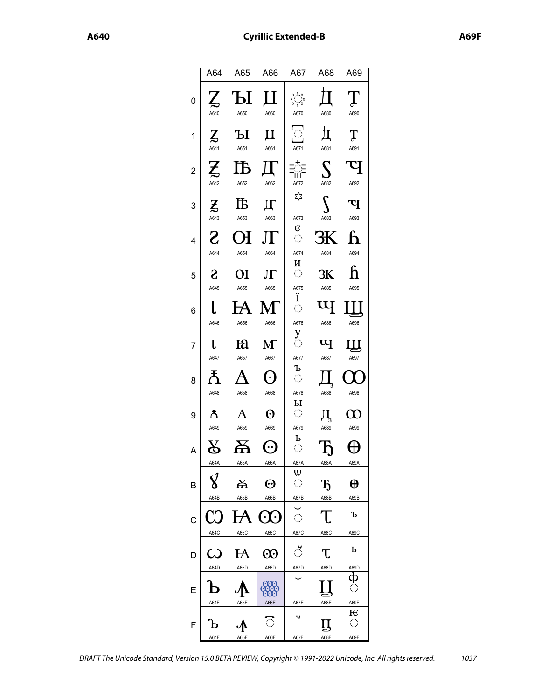|   | A64                                | A65                                | A66                           | A67                                                                                                                             | A68                                                                                                                     | A69                                  |
|---|------------------------------------|------------------------------------|-------------------------------|---------------------------------------------------------------------------------------------------------------------------------|-------------------------------------------------------------------------------------------------------------------------|--------------------------------------|
| 0 | A640                               | Ы<br>A650                          | П<br>A660                     | $x^{\mathbf{X}^{\mathbf{X}}}_{\mathbf{x}^{\mathbf{X}^{\mathbf{X}}}_{\mathbf{x}^{\mathbf{X}}_{\mathbf{X}^{\mathbf{X}}}}$<br>A670 | A680                                                                                                                    | A690                                 |
| 1 | $\mathbf{Z}$<br>A641               | Ы<br>A651                          | $\bm{\Pi}$<br>A661            | $\begin{array}{c}\n\hline\n\end{array}$ A671                                                                                    | 圢<br>A681                                                                                                               | $\mathbf T$<br>A691                  |
| 2 | $\boldsymbol{\mathcal{I}}$<br>A642 | ÌЪ<br>A652                         | A662                          | $\overline{\mathbb{C}}$<br>ïΰ<br>A672                                                                                           | $\mathcal{S}% _{M_{1},M_{2}}^{\alpha,\beta}(\varepsilon)=\mathcal{S}_{M_{1},M_{2}}^{\alpha,\beta}(\varepsilon)$<br>A682 | प<br>A692                            |
| 3 | $\boldsymbol{\mathcal{Z}}$<br>A643 | 邒<br>A653                          | Д<br>A663                     | ≿∡<br>A673                                                                                                                      | A683                                                                                                                    | प<br>A693                            |
| 4 | S<br>A644                          | (H<br>A654                         | ЛF<br>A664                    | $\epsilon$<br>$\langle \rangle$<br>A674                                                                                         | Ж<br>A684                                                                                                               | ĥ<br>A694                            |
| 5 | S<br>A645                          | ЮI<br>A655                         | ${\rm J}\Gamma$<br>A665       | И<br>$\langle \rangle$<br>A675<br>$\overline{\cdot}$                                                                            | Ж<br>A685                                                                                                               | ĥ<br>A695                            |
| 6 | A646                               | $\bm{\mathsf{H}}$<br>A656          | М<br>A666                     | ï<br>$\hat{\mathcal{L}}$<br>A676                                                                                                | Щ<br>A686                                                                                                               | A696                                 |
| 7 | L<br>A647                          | Ю<br>A657                          | $\mathbf{M}$<br>A667          | $\sum_{i=1}^{n}$<br>A677                                                                                                        | $\overline{\mathbf{u}}$<br>A687                                                                                         | Щ<br>A697                            |
| 8 | Ψ<br>A648                          | A658                               | $(\cdot)$<br>A668             | Ъ<br>$\langle \rangle$<br>A678                                                                                                  | A688                                                                                                                    | A698                                 |
| 9 | ħ<br>A649                          | A<br>A659                          | $\boldsymbol{\Theta}$<br>A669 | $\mathbf{P}$<br>$\hat{\mathbb{C}}$<br>A679                                                                                      | Д<br>A689                                                                                                               | W<br>A699                            |
| A | $8\,$<br>A64A                      | Ă<br>A65A                          | $(\cdot \cdot)$<br>A66A       | $\bf{P}$<br>$\langle \rangle$<br>A67A                                                                                           | Ђ<br>A68A                                                                                                               | A69A                                 |
| В | $\pmb{\%}$<br>A64B                 | 呂<br>A65B                          | ⊙<br>A66B                     | W<br>$\langle \rangle$<br>A67B                                                                                                  | Ђ<br>A68B                                                                                                               | $\boldsymbol{\oplus}$<br>A69B        |
| С | ٦ŗ<br>A64C                         | $\boldsymbol{\mathcal{A}}$<br>A65C | $(\cdot)$<br>A66C             | $\langle \rangle$<br>A67C                                                                                                       | T<br>A68C                                                                                                               | Ъ<br>A69C                            |
| D | $\bm{\omega}$<br>A64D              | $\rm H\!\!\!A$<br>A65D             | $\odot$<br>A66D               | $\mathcal{O}$<br>A67D                                                                                                           | Т.<br>A68D                                                                                                              | Ь<br>A69D                            |
| E | A64E                               | A65E                               | <b>OOO</b><br>A66E            | A67E                                                                                                                            | A68E                                                                                                                    | ф<br>Ō<br>A69E                       |
| F | b<br>A64F                          | ․⁄ի<br>A65F                        | ි<br>A66F                     | ч<br>A67F                                                                                                                       | Ц<br>A68F                                                                                                               | E<br>$\langle \cdot \rangle$<br>A69F |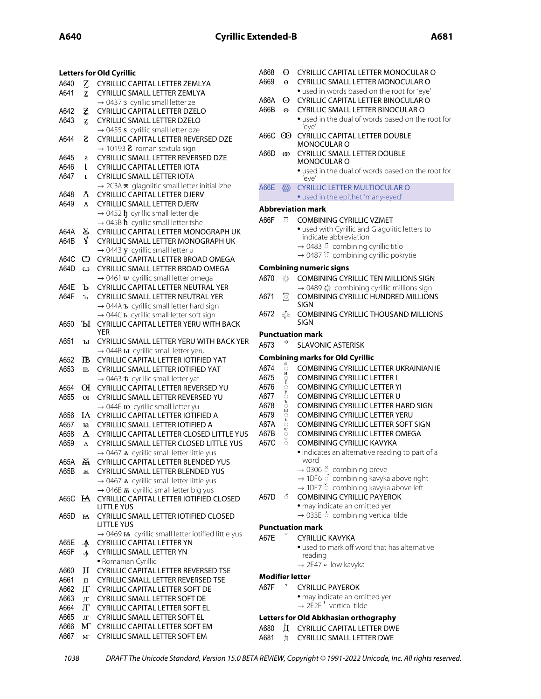|      |                 | <b>Letters for Old Cyrillic</b>                                                                              | A668                   | $\Theta$           | CYRILLIC CAPITAL LETTER MONOCULAR O                        |
|------|-----------------|--------------------------------------------------------------------------------------------------------------|------------------------|--------------------|------------------------------------------------------------|
| A640 | Z               | CYRILLIC CAPITAL LETTER ZEMLYA                                                                               | A669                   | $\Theta$           | CYRILLIC SMALL LETTER MONOCULAR O                          |
| A641 | Z               | CYRILLIC SMALL LETTER ZEMLYA                                                                                 |                        |                    | • used in words based on the root for 'eye'                |
|      |                 | $\rightarrow$ 0437 3 cyrillic small letter ze                                                                | A66A                   | ⊙                  | CYRILLIC CAPITAL LETTER BINOCULAR O                        |
| A642 | Z               | <b>CYRILLIC CAPITAL LETTER DZELO</b>                                                                         | A66B                   | $\Theta$           | CYRILLIC SMALL LETTER BINOCULAR O                          |
| A643 | Z               | <b>CYRILLIC SMALL LETTER DZELO</b>                                                                           |                        |                    | • used in the dual of words based on the rod               |
|      |                 | $\rightarrow$ 0455 s cyrillic small letter dze                                                               |                        |                    | 'eye'                                                      |
| A644 | S               | CYRILLIC CAPITAL LETTER REVERSED DZE                                                                         |                        |                    | A66C CO CYRILLIC CAPITAL LETTER DOUBLE<br>MONOCULAR O      |
|      |                 | $\rightarrow$ 10193 <b>2</b> roman sextula sign                                                              | A66D                   | $\infty$           | <b>CYRILLIC SMALL LETTER DOUBLE</b>                        |
| A645 | S               | CYRILLIC SMALL LETTER REVERSED DZE                                                                           |                        |                    | MONOCULAR O                                                |
| A646 | L               | <b>CYRILLIC CAPITAL LETTER IOTA</b>                                                                          |                        |                    | • used in the dual of words based on the rod               |
| A647 | L               | <b>CYRILLIC SMALL LETTER IOTA</b>                                                                            |                        |                    | 'eye'                                                      |
|      |                 | → 2C3A x glagolitic small letter initial izhe                                                                | <b>A66E</b>            | ₩                  | <b>CYRILLIC LETTER MULTIOCULAR O</b>                       |
| A648 | Å.              | <b>CYRILLIC CAPITAL LETTER DJERV</b>                                                                         |                        |                    | • used in the epithet 'many-eyed'                          |
| A649 | ¥,              | CYRILLIC SMALL LETTER DJERV                                                                                  |                        |                    | <b>Abbreviation mark</b>                                   |
|      |                 | $\rightarrow$ 0452 $\hbar$ cyrillic small letter dje                                                         | A66F                   | ි                  | <b>COMBINING CYRILLIC VZMET</b>                            |
| A64A | R               | $\rightarrow$ 045B $\hbar$ cyrillic small letter tshe<br>CYRILLIC CAPITAL LETTER MONOGRAPH UK                |                        |                    | · used with Cyrillic and Glagolitic letters to             |
| A64B | $\mathbf{X}$    | CYRILLIC SMALL LETTER MONOGRAPH UK                                                                           |                        |                    | indicate abbreviation                                      |
|      |                 | $\rightarrow$ 0443 y cyrillic small letter u                                                                 |                        |                    | $\rightarrow$ 0483 $\overline{5}$ combining cyrillic titlo |
| A64C | C               | CYRILLIC CAPITAL LETTER BROAD OMEGA                                                                          |                        |                    | → 0487 combining cyrillic pokrytie                         |
| A64D | $\omega$        | CYRILLIC SMALL LETTER BROAD OMEGA                                                                            |                        |                    | <b>Combining numeric signs</b>                             |
|      |                 | $\rightarrow$ 0461 w cyrillic small letter omega                                                             | A670                   | 心                  | <b>COMBINING CYRILLIC TEN MILLIONS SIGN</b>                |
| A64E | Ъ               | CYRILLIC CAPITAL LETTER NEUTRAL YER                                                                          |                        |                    | → 0489 ※ combining cyrillic millions sign                  |
| A64F | Ъ               | CYRILLIC SMALL LETTER NEUTRAL YER                                                                            | A671                   | s                  | COMBINING CYRILLIC HUNDRED MILLIONS                        |
|      |                 | → 044А ъ cyrillic small letter hard sign                                                                     |                        |                    | SIGN                                                       |
|      |                 | → 044С ь cyrillic small letter soft sign                                                                     | A672                   | 蒅                  | COMBINING CYRILLIC THOUSAND MILLION                        |
| A650 |                 | <b>ILI CYRILLIC CAPITAL LETTER YERU WITH BACK</b>                                                            |                        |                    | <b>SIGN</b>                                                |
|      |                 | <b>YER</b>                                                                                                   |                        |                    | <b>Punctuation mark</b>                                    |
| A651 | Ы               | CYRILLIC SMALL LETTER YERU WITH BACK YER                                                                     | A673                   |                    | <b>SLAVONIC ASTERISK</b>                                   |
|      |                 | → 044B <b>ы</b> cyrillic small letter yeru                                                                   |                        |                    | <b>Combining marks for Old Cyrillic</b>                    |
| A652 | ĨЪ              | CYRILLIC CAPITAL LETTER IOTIFIED YAT                                                                         | A674                   | ိ                  | COMBINING CYRILLIC LETTER UKRAINIAN I                      |
| A653 | Б               | CYRILLIC SMALL LETTER IOTIFIED YAT                                                                           | A675                   | И                  | <b>COMBINING CYRILLIC LETTER I</b>                         |
| A654 |                 | → 0463 ₺ cyrillic small letter yat<br>OI CYRILLIC CAPITAL LETTER REVERSED YU                                 | A676                   | $_{\rm i}^{\rm o}$ | <b>COMBINING CYRILLIC LETTER YI</b>                        |
| A655 | $\overline{O}I$ | CYRILLIC SMALL LETTER REVERSED YU                                                                            | A677                   | O <sub>B</sub>     | COMBINING CYRILLIC LETTER U                                |
|      |                 | $\rightarrow$ 044E <b>10</b> cyrillic small letter yu                                                        | A678                   |                    | COMBINING CYRILLIC LETTER HARD SIGN                        |
| A656 | $H\!A$          | CYRILLIC CAPITAL LETTER IOTIFIED A                                                                           | A679                   | $\frac{p}{p}$      | <b>COMBINING CYRILLIC LETTER YERU</b>                      |
| A657 | ю               | <b>CYRILLIC SMALL LETTER IOTIFIED A</b>                                                                      | A67A                   |                    | <b>COMBINING CYRILLIC LETTER SOFT SIGN</b>                 |
| A658 | A               | CYRILLIC CAPITAL LETTER CLOSED LITTLE YUS                                                                    | A67B                   | ួ<br>O             | COMBINING CYRILLIC LETTER OMEGA                            |
| A659 | $\Delta$        | CYRILLIC SMALL LETTER CLOSED LITTLE YUS                                                                      | A67C                   | $\check{\circ}$    | COMBINING CYRILLIC KAVYKA                                  |
|      |                 | $\rightarrow$ 0467 A cyrillic small letter little yus                                                        |                        |                    | · indicates an alternative reading to part of a            |
|      |                 | A65A A CYRILLIC CAPITAL LETTER BLENDED YUS                                                                   |                        |                    | word                                                       |
| A65B | 폶               | CYRILLIC SMALL LETTER BLENDED YUS                                                                            |                        |                    | $\rightarrow$ 0306 $\breve{\circ}$ combining breve         |
|      |                 | $\rightarrow$ 0467 A cyrillic small letter little yus                                                        |                        |                    | → 1DF6 $\circ$ combining kavyka above right                |
|      |                 | $\rightarrow$ 046B $\overline{a}$ cyrillic small letter big yus                                              |                        |                    | → 1DF7 ° combining kavyka above left                       |
|      |                 | A65C HA CYRILLIC CAPITAL LETTER IOTIFIED CLOSED                                                              | A67D                   | $\circ$            | <b>COMBINING CYRILLIC PAYEROK</b>                          |
|      |                 | LITTLE YUS                                                                                                   |                        |                    | · may indicate an omitted yer                              |
| A65D |                 | HA CYRILLIC SMALL LETTER IOTIFIED CLOSED                                                                     |                        |                    | $\rightarrow$ 033E $\circ$ combining vertical tilde        |
|      |                 | LITTLE YUS                                                                                                   |                        |                    | <b>Punctuation mark</b>                                    |
| A65E |                 | $\rightarrow$ 0469 $\text{H}$ cyrillic small letter iotified little yus<br><b>CYRILLIC CAPITAL LETTER YN</b> | A67E                   |                    | <b>CYRILLIC KAVYKA</b>                                     |
| A65F | $\Lambda$       | <b>CYRILLIC SMALL LETTER YN</b>                                                                              |                        |                    | • used to mark off word that has alternative               |
|      | ∱.              | · Romanian Cyrillic                                                                                          |                        |                    | reading                                                    |
| A660 | П               | CYRILLIC CAPITAL LETTER REVERSED TSE                                                                         |                        |                    | → 2E47 • low kavyka                                        |
| A661 | $\mathbf{I}$    | CYRILLIC SMALL LETTER REVERSED TSE                                                                           | <b>Modifier letter</b> |                    |                                                            |
| A662 | П               | CYRILLIC CAPITAL LETTER SOFT DE                                                                              | A67F                   |                    | <b>CYRILLIC PAYEROK</b>                                    |
| A663 | Л               | CYRILLIC SMALL LETTER SOFT DE                                                                                |                        |                    | · may indicate an omitted yer                              |
| A664 | Л               | <b>CYRILLIC CAPITAL LETTER SOFT EL</b>                                                                       |                        |                    | $\rightarrow$ 2E2F <sup>5</sup> vertical tilde             |
| A665 | $J\Gamma$       | CYRILLIC SMALL LETTER SOFT EL                                                                                |                        |                    | Letters for Old Abkhasian orthography                      |
| A666 |                 | M CYRILLIC CAPITAL LETTER SOFT EM                                                                            | A680                   | Д                  | <b>CYRILLIC CAPITAL LETTER DWE</b>                         |
| A667 | $M^{\circ}$     | <b>CYRILLIC SMALL LETTER SOFT EM</b>                                                                         | A681                   | $\frac{1}{2}$      | <b>CYRILLIC SMALL LETTER DWE</b>                           |
|      |                 |                                                                                                              |                        |                    |                                                            |

| A66A        | ⊙                             | CYRILLIC CAPITAL LETTER BINOCULAR O                                                      |
|-------------|-------------------------------|------------------------------------------------------------------------------------------|
| A66B        | Θ                             | CYRILLIC SMALL LETTER BINOCULAR O<br>• used in the dual of words based on the root for   |
|             |                               | 'eye'                                                                                    |
| A66C        | $\infty$                      | <b>CYRILLIC CAPITAL LETTER DOUBLE</b><br>MONOCULAR O                                     |
| A66D        | $\infty$                      | <b>CYRILLIC SMALL LETTER DOUBLE</b><br><b>MONOCULAR O</b>                                |
|             |                               | • used in the dual of words based on the root for<br>'eye'                               |
| <b>A66E</b> | ₩                             | <b>CYRILLIC LETTER MULTIOCULAR O</b><br>• used in the epithet 'many-eyed'                |
|             |                               | <b>Abbreviation mark</b>                                                                 |
| A66F        | ਨ                             | <b>COMBINING CYRILLIC VZMET</b>                                                          |
|             |                               | • used with Cyrillic and Glagolitic letters to                                           |
|             |                               | indicate abbreviation                                                                    |
|             |                               | $\rightarrow$ 0483 6 combining cyrillic titlo                                            |
|             |                               | $\rightarrow$ 0487 $\degree$ combining cyrillic pokrytie                                 |
|             |                               | <b>Combining numeric signs</b>                                                           |
| A670        | 烧                             | COMBINING CYRILLIC TEN MILLIONS SIGN                                                     |
|             |                               | → 0489 ☆ combining cyrillic millions sign                                                |
| A671        | I                             | COMBINING CYRILLIC HUNDRED MILLIONS<br>SIGN                                              |
| A672        | 唜                             | <b>COMBINING CYRILLIC THOUSAND MILLIONS</b><br>SIGN                                      |
|             |                               | <b>Punctuation mark</b>                                                                  |
|             | ≎                             |                                                                                          |
| A673        |                               | <b>SLAVONIC ASTERISK</b>                                                                 |
|             |                               |                                                                                          |
| A674        | $\mathop{\circ}^{\mathsf{e}}$ | <b>Combining marks for Old Cyrillic</b><br><b>COMBINING CYRILLIC LETTER UKRAINIAN IE</b> |
| A675        | И                             | <b>COMBINING CYRILLIC LETTER I</b>                                                       |
| A676        |                               | <b>COMBINING CYRILLIC LETTER YI</b>                                                      |
| A677        | ្ទុះ                          | <b>COMBINING CYRILLIC LETTER U</b>                                                       |
| A678        | $\tilde{\vec{b}}$             | COMBINING CYRILLIC LETTER HARD SIGN                                                      |
| A679        |                               | <b>COMBINING CYRILLIC LETTER YERU</b>                                                    |
| A67A        | SOPOR                         | <b>COMBINING CYRILLIC LETTER SOFT SIGN</b>                                               |
| A67B        | $\circ$                       | COMBINING CYRILLIC LETTER OMEGA                                                          |
| A67C        | $\check{\circ}$               | COMBINING CYRILLIC KAVYKA                                                                |
|             |                               | · indicates an alternative reading to part of a<br>word                                  |
|             |                               | $\rightarrow$ 0306 $\breve{\circ}$ combining breve                                       |
|             |                               | → 1DF6 $\circ$ combining kavyka above right                                              |
|             |                               | → 1DF7 $\check{\circ}$ combining kavyka above left                                       |
| A67D ೆ      |                               | <b>COMBINING CYRILLIC PAYEROK</b>                                                        |
|             |                               | · may indicate an omitted yer                                                            |
|             |                               | $\rightarrow$ 033E $\circ$ combining vertical tilde                                      |
|             |                               | <b>Punctuation mark</b>                                                                  |
| A67E        |                               | <b>CYRILLIC KAVYKA</b>                                                                   |
|             |                               | • used to mark off word that has alternative<br>reading                                  |
|             |                               | $\rightarrow$ 2E47 $\sim$ low kavyka                                                     |

### CYRILLIC PAYEROK • may indicate an omitted yer

# **Old Abkhasian orthography**

- CYRILLIC CAPITAL LETTER DWE
- CYRILLIC SMALL LETTER DWE